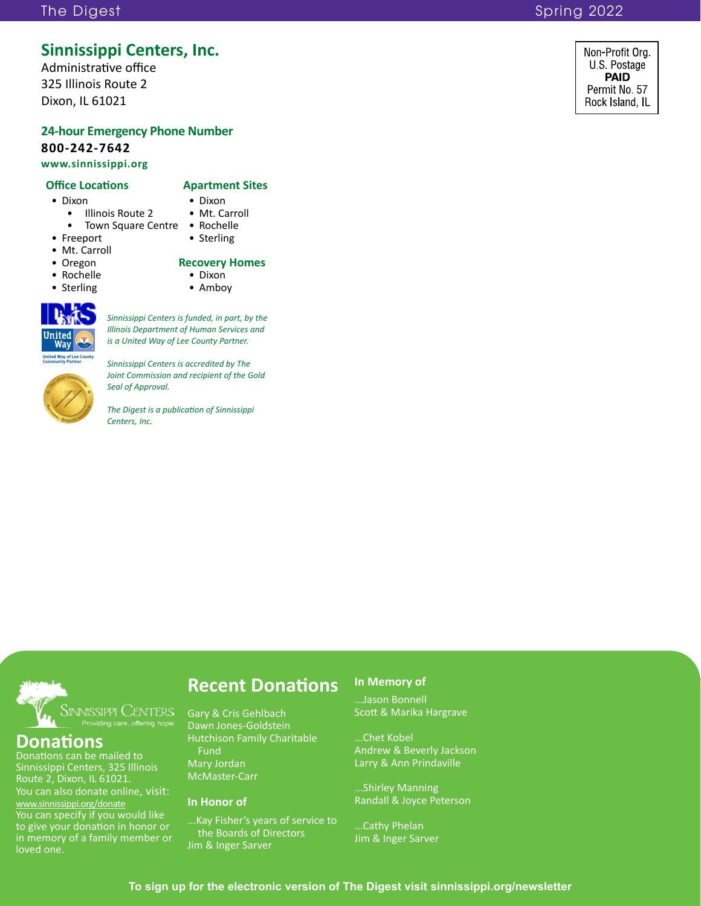### The Digest Spring 2022 and the Digest Spring 2022

### **Sinnissippi Centers, Inc.**

Administrative office 325 Illinois Route 2 Dixon, IL 61021

### **24-hour Emergency Phone Number 800-242-7642 www.sinnissippi.org**

### **Office Locations Apartment Sites**

- 
- Dixon Dixon Dixon Dixon Illinois Route 2 Mt. Carroll • Illinois Route 2
	- Town Square Centre Rochelle
- Freeport Sterling
- Mt. Carroll
- 
- 
- Sterling



*Sinnissippi Centers is funded, in part, by the Illinois Department of Human Services and* 

**United Way of Lee County Community Partner**

*Sinnissippi Centers is accredited by The Joint Commission and recipient of the Gold Seal of Approval.*

# • Oregon **Recovery Homes** • Rochelle • Dixon

- 
- 

*is a United Way of Lee County Partner.* 

### *The Digest is a publication of Sinnissippi Centers, Inc.*



### **Donations**

Donations can be mailed to Sinnissippi Centers, 325 Illinois Route 2, Dixon, IL 61021. You can also donate online, visit: www.sinnissippi.org/donate You can specify if you would like to give your donation in honor or in memory of a family member or loved one.

### **Recent Donations**

Gary & Cris Gehlbach Dawn Jones-Goldstein Hutchison Family Charitable Fund Mary Jordan McMaster-Carr

#### **In Honor of**

...Kay Fisher's years of service to the Boards of Directors Jim & Inger Sarver

#### **In Memory of**

...Jason Bonnell Scott & Marika Hargrave

...Chet Kobel Andrew & Beverly Jackson Larry & Ann Prindaville

...Shirley Manning Randall & Joyce Peterson

...Cathy Phelan Jim & Inger Sarver Non-Profit Org. U.S. Postage **PAID** Permit No. 57 Rock Island, IL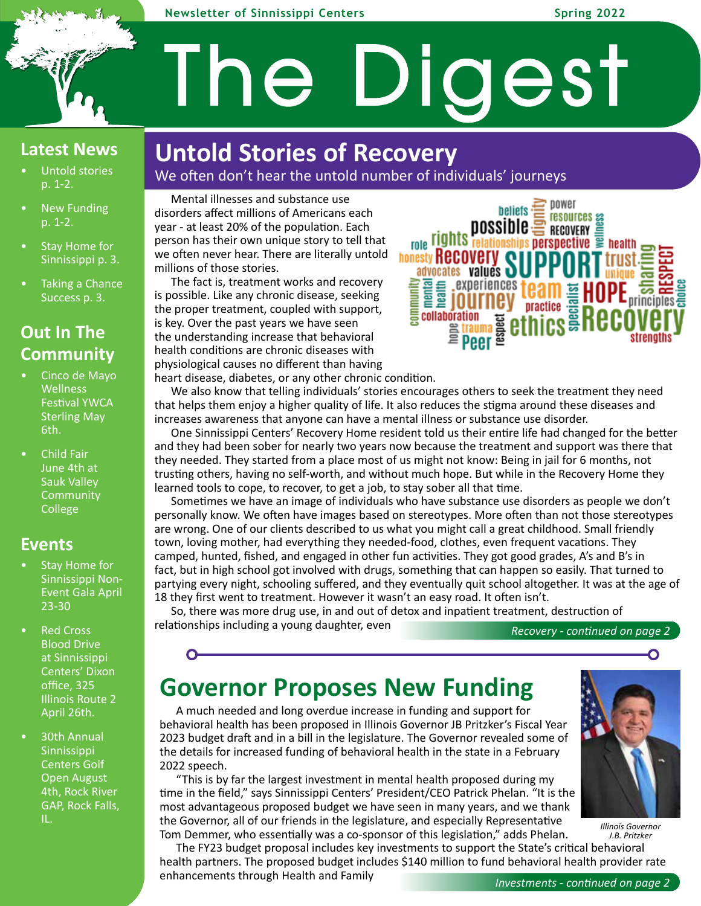#### **Newsletter of Sinnissippi Centers Spring 2022**

### **Latest News**

- Untold stories p. 1-2.
- **New Funding** p. 1-2.
- Stay Home for Sinnissippi p. 3.
- Taking a Chance Success p. 3.

### **Out In The Community**

- Cinco de Mayo **Wellness** Festival YWCA Sterling May 6th.
- Child Fair June 4th at Sauk Valley **Community** College

### **Events**

- Stay Home for Sinnissippi Non-Event Gala April 23-30
- **Red Cross** Blood Drive at Sinnissippi Centers' Dixon office, 325 Illinois Route 2 April 26th.
- 30th Annual Sinnissippi Centers Golf Open August 4th, Rock River GAP, Rock Falls, IL.

# **Untold Stories of Recovery**

We often don't hear the untold number of individuals' journeys

The Digest

Mental illnesses and substance use disorders affect millions of Americans each year - at least 20% of the population. Each person has their own unique story to tell that we often never hear. There are literally untold millions of those stories.

The fact is, treatment works and recovery is possible. Like any chronic disease, seeking the proper treatment, coupled with support, is key. Over the past years we have seen the understanding increase that behavioral health conditions are chronic diseases with physiological causes no different than having

power **beliefs** resources a possibie RECOVERY E role rights relationships perspective  $\bar{p}$  health, **honesty Recovery SU** E E E PROPRIENCES T Experiences team **E** eses strength:

heart disease, diabetes, or any other chronic condition.

We also know that telling individuals' stories encourages others to seek the treatment they need that helps them enjoy a higher quality of life. It also reduces the stigma around these diseases and increases awareness that anyone can have a mental illness or substance use disorder.

One Sinnissippi Centers' Recovery Home resident told us their entire life had changed for the better and they had been sober for nearly two years now because the treatment and support was there that they needed. They started from a place most of us might not know: Being in jail for 6 months, not trusting others, having no self-worth, and without much hope. But while in the Recovery Home they learned tools to cope, to recover, to get a job, to stay sober all that time.

Sometimes we have an image of individuals who have substance use disorders as people we don't personally know. We often have images based on stereotypes. More often than not those stereotypes are wrong. One of our clients described to us what you might call a great childhood. Small friendly town, loving mother, had everything they needed-food, clothes, even frequent vacations. They camped, hunted, fished, and engaged in other fun activities. They got good grades, A's and B's in fact, but in high school got involved with drugs, something that can happen so easily. That turned to partying every night, schooling suffered, and they eventually quit school altogether. It was at the age of 18 they first went to treatment. However it wasn't an easy road. It often isn't.

So, there was more drug use, in and out of detox and inpatient treatment, destruction of relationships including a young daughter, even

*Recovery - continued on page 2--*

# **Governor Proposes New Funding**

A much needed and long overdue increase in funding and support for behavioral health has been proposed in Illinois Governor JB Pritzker's Fiscal Year 2023 budget draft and in a bill in the legislature. The Governor revealed some of the details for increased funding of behavioral health in the state in a February 2022 speech.

"This is by far the largest investment in mental health proposed during my time in the field," says Sinnissippi Centers' President/CEO Patrick Phelan. "It is the most advantageous proposed budget we have seen in many years, and we thank the Governor, all of our friends in the legislature, and especially Representative Tom Demmer, who essentially was a co-sponsor of this legislation," adds Phelan.

The FY23 budget proposal includes key investments to support the State's critical behavioral health partners. The proposed budget includes \$140 million to fund behavioral health provider rate enhancements through Health and Family



O

*J.B. Pritzker*

*Investments - continued on page 2--*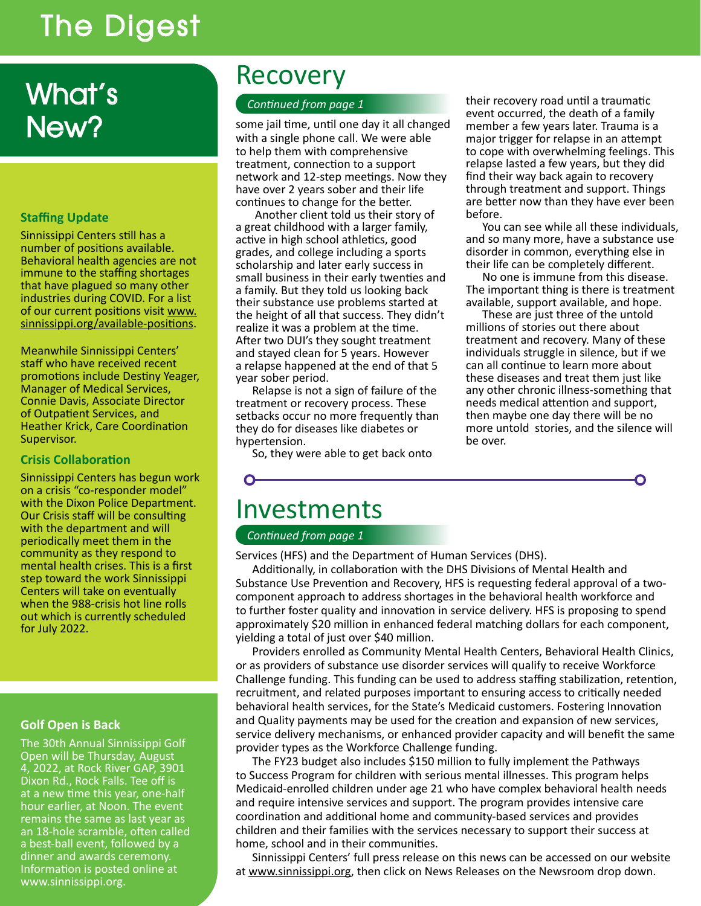# The Digest

# What's New?

### **Staffing Update**

Sinnissippi Centers still has a number of positions available. Behavioral health agencies are not immune to the staffing shortages that have plagued so many other industries during COVID. For a list of our current positions visit www. sinnissippi.org/available-positions.

Meanwhile Sinnissippi Centers' staff who have received recent promotions include Destiny Yeager, Manager of Medical Services, Connie Davis, Associate Director of Outpatient Services, and Heather Krick, Care Coordination Supervisor.

#### **Crisis Collaboration**

Sinnissippi Centers has begun work on a crisis "co-responder model" with the Dixon Police Department. Our Crisis staff will be consulting with the department and will periodically meet them in the community as they respond to mental health crises. This is a first step toward the work Sinnissippi Centers will take on eventually when the 988-crisis hot line rolls out which is currently scheduled for July 2022.

#### **Golf Open is Back**

The 30th Annual Sinnissippi Golf Open will be Thursday, August 4, 2022, at Rock River GAP, 3901 Dixon Rd., Rock Falls. Tee off is at a new time this year, one-half hour earlier, at Noon. The event remains the same as last year as an 18-hole scramble, often called a best-ball event, followed by a dinner and awards ceremony. Information is posted online at www.sinnissippi.org.

## Recovery

### *Continued from page 1*

some jail time, until one day it all changed with a single phone call. We were able to help them with comprehensive treatment, connection to a support network and 12-step meetings. Now they have over 2 years sober and their life continues to change for the better.

 Another client told us their story of a great childhood with a larger family, active in high school athletics, good grades, and college including a sports scholarship and later early success in small business in their early twenties and a family. But they told us looking back their substance use problems started at the height of all that success. They didn't realize it was a problem at the time. After two DUI's they sought treatment and stayed clean for 5 years. However a relapse happened at the end of that 5 year sober period.

Relapse is not a sign of failure of the treatment or recovery process. These setbacks occur no more frequently than they do for diseases like diabetes or hypertension.

So, they were able to get back onto

their recovery road until a traumatic event occurred, the death of a family member a few years later. Trauma is a major trigger for relapse in an attempt to cope with overwhelming feelings. This relapse lasted a few years, but they did find their way back again to recovery through treatment and support. Things are better now than they have ever been before.

You can see while all these individuals, and so many more, have a substance use disorder in common, everything else in their life can be completely different.

No one is immune from this disease. The important thing is there is treatment available, support available, and hope.

These are just three of the untold millions of stories out there about treatment and recovery. Many of these individuals struggle in silence, but if we can all continue to learn more about these diseases and treat them just like any other chronic illness-something that needs medical attention and support, then maybe one day there will be no more untold stories, and the silence will be over.

# Investments

#### *Continued from page 1*

Services (HFS) and the Department of Human Services (DHS).

Additionally, in collaboration with the DHS Divisions of Mental Health and Substance Use Prevention and Recovery, HFS is requesting federal approval of a twocomponent approach to address shortages in the behavioral health workforce and to further foster quality and innovation in service delivery. HFS is proposing to spend approximately \$20 million in enhanced federal matching dollars for each component, yielding a total of just over \$40 million.

Providers enrolled as Community Mental Health Centers, Behavioral Health Clinics, or as providers of substance use disorder services will qualify to receive Workforce Challenge funding. This funding can be used to address staffing stabilization, retention, recruitment, and related purposes important to ensuring access to critically needed behavioral health services, for the State's Medicaid customers. Fostering Innovation and Quality payments may be used for the creation and expansion of new services, service delivery mechanisms, or enhanced provider capacity and will benefit the same provider types as the Workforce Challenge funding.

The FY23 budget also includes \$150 million to fully implement the Pathways to Success Program for children with serious mental illnesses. This program helps Medicaid-enrolled children under age 21 who have complex behavioral health needs and require intensive services and support. The program provides intensive care coordination and additional home and community-based services and provides children and their families with the services necessary to support their success at home, school and in their communities.

Sinnissippi Centers' full press release on this news can be accessed on our website at www.sinnissippi.org, then click on News Releases on the Newsroom drop down.